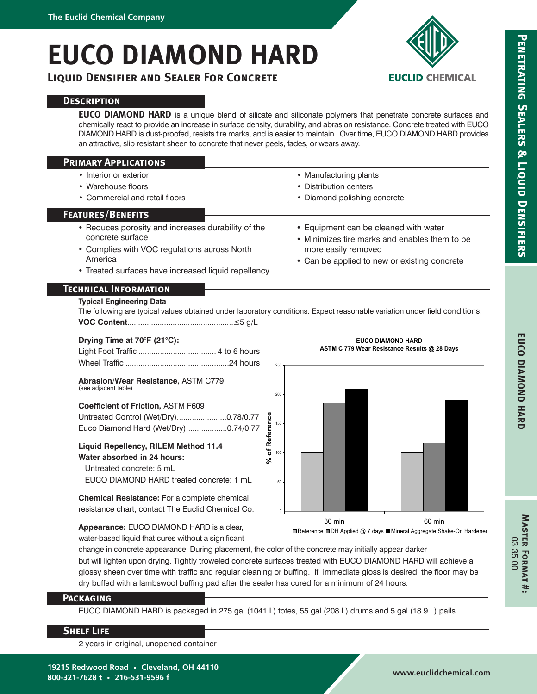# **EUCO DIAMOND HARD**

**Liquid Densifier and Sealer For Concrete**



**EUCLID CHEMICAL** 

**EUCO DIAMOND HARD** is a unique blend of silicate and siliconate polymers that penetrate concrete surfaces and chemically react to provide an increase in surface density, durability, and abrasion resistance. Concrete treated with EUCO DIAMOND HARD is dust-proofed, resists tire marks, and is easier to maintain. Over time, EUCO DIAMOND HARD provides an attractive, slip resistant sheen to concrete that never peels, fades, or wears away.

|  | <b>PRIMARY APPLICATIONS</b> |
|--|-----------------------------|
|--|-----------------------------|

- Interior or exterior
- Warehouse floors
- Commercial and retail floors
- Manufacturing plants
- Distribution centers
- Diamond polishing concrete

more easily removed

• Equipment can be cleaned with water • Minimizes tire marks and enables them to be

• Can be applied to new or existing concrete

**EUCO DIAMOND HARD**

## **Features/Benefits**

- Reduces porosity and increases durability of the concrete surface
- Complies with VOC regulations across North America
- Treated surfaces have increased liquid repellency

## **Technical Information**

## **Typical Engineering Data**

**VOC Content**.................................................≤5 g/L The following are typical values obtained under laboratory conditions. Expect reasonable variation under field conditions.

## **Drying Time at 70°F (21°C):**

**Abrasion/Wear Resistance,** ASTM C779 (see adjacent table)

#### **Coefficient of Friction,** ASTM F609

Untreated Control (Wet/Dry).......................0.78/0.77 Euco Diamond Hard (Wet/Dry)...................0.74/0.77

## **Liquid Repellency, RILEM Method 11.4 Water absorbed in 24 hours:**

 Untreated concrete: 5 mL EUCO DIAMOND HARD treated concrete: 1 mL

**Chemical Resistance:** For a complete chemical resistance chart, contact The Euclid Chemical Co.



**Example Find Applied @ 7 days ■ Mineral Aggregate Shake-On Hardener** 

**Appearance:** EUCO DIAMOND HARD is a clear, water-based liquid that cures without a significant

change in concrete appearance. During placement, the color of the concrete may initially appear darker but will lighten upon drying. Tightly troweled concrete surfaces treated with EUCO DIAMOND HARD will achieve a glossy sheen over time with traffic and regular cleaning or buffing. If immediate gloss is desired, the floor may be dry buffed with a lambswool buffing pad after the sealer has cured for a minimum of 24 hours.

### **Packaging**

EUCO DIAMOND HARD is packaged in 275 gal (1041 L) totes, 55 gal (208 L) drums and 5 gal (18.9 L) pails.

## **Shelf Life**

2 years in original, unopened container